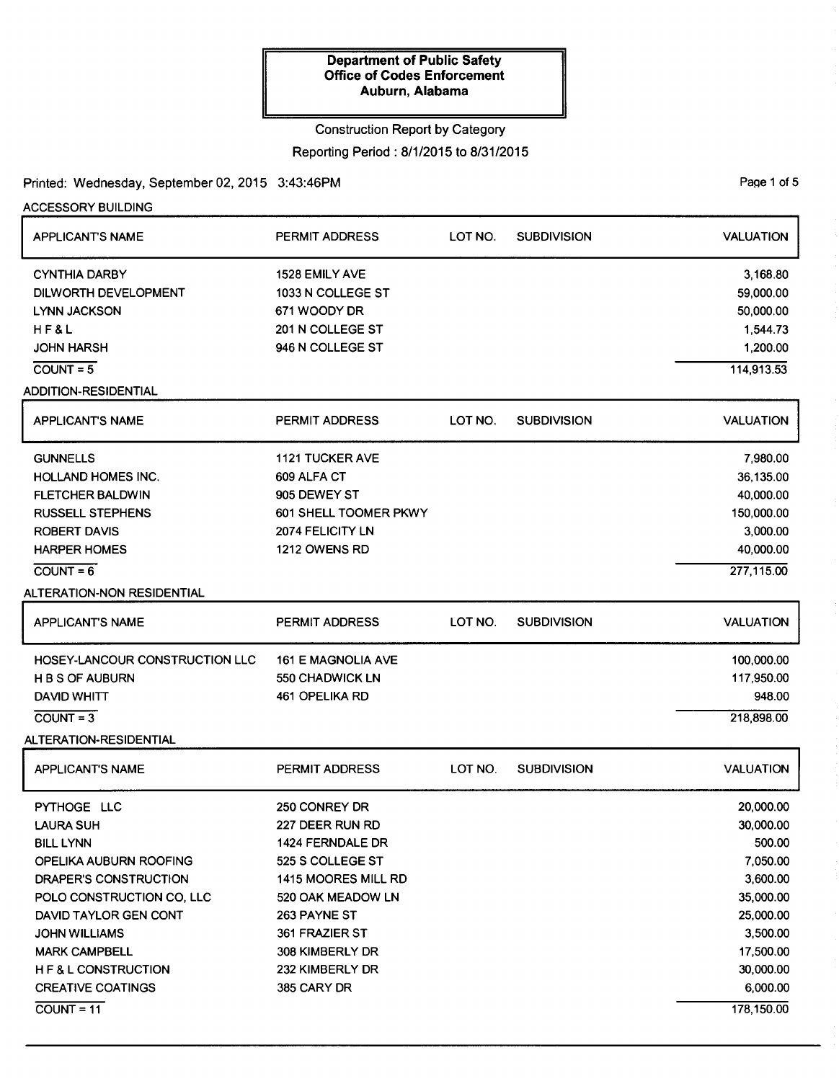## Construction Report by Category Reporting Period: 8/1/2015 to 8/31/2015

Printed: Wednesday, September 02, 2015 3:43:46PM

COUNT= 11

ACCESSORY BUILDING APPLICANT'S NAME CYNTHIA DARBY DILWORTH DEVELOPMENT LYNN JACKSON HF&L JOHN HARSH  $COUNT = 5$ ADDITION-RESIDENTIAL APPLICANT'S NAME **GUNNELLS** HOLLAND HOMES INC. FLETCHER BALDWIN RUSSELL STEPHENS ROBERT DAVIS HARPER HOMES  $COUNT=6$ ALTERATION-NON RESIDENTIAL APPLICANT'S NAME PERMIT ADDRESS 1528 EMILY AVE 1033 N COLLEGE ST 671 WOODY DR 201 N COLLEGE ST 946 N COLLEGE ST PERMIT ADDRESS 1121 TUCKER AVE 609ALFA CT 905 DEWEY ST 601 SHELL TOOMER PKWY 2074 FELICITY LN 1212 OWENS RD PERMIT ADDRESS HOSEY-LANCOUR CONSTRUCTION LLC 161 E MAGNOLIA AVE H B S OF AUBURN 550 CHADWICK LN DAVID WHITT 461 OPELIKA RD  $COUNT = 3$ ALTERATION-RESIDENTIAL APPLICANT'S NAME PYTHOGE LLC LAURA SUH BILL LYNN OPELIKA AUBURN ROOFING DRAPER'S CONSTRUCTION POLO CONSTRUCTION CO, LLC DAVID TAYLOR GEN CONT JOHN WILLIAMS MARK CAMPBELL H F & L CONSTRUCTION CREATIVE COATINGS PERMIT ADDRESS 250 CONREY DR 227 DEER RUN RD 1424 FERNDALE DR 525 S COLLEGE ST 1415 MOORES MILL RD 520 OAK MEADOW LN 263 PAYNE ST 361 FRAZIER ST 308 KIMBERLY DR 232 KIMBERLY DR 385 CARY DR LOT NO. SUBDIVISION LOT NO. SUBDIVISION LOT NO. SUBDIVISION LOT NO. SUBDIVISION VALUATION 3,168.80 59,000.00 50,000.00 1,544.73 1,200.00 114,913.53 VALUATION 7,980.00 36,135.00 40,000.00 150,000.00 3,000.00 40,000.00 277,115.00 VALUATION 100,000.00 117,950.00 948.00 218,898.00 VALUATION 20,000.00 30,000.00 500.00 7,050.00 3,600.00 35,000.00 25,000.00 3,500.00 17,500.00 30,000.00 6,000.00

PaQe 1 of 5

178,150.00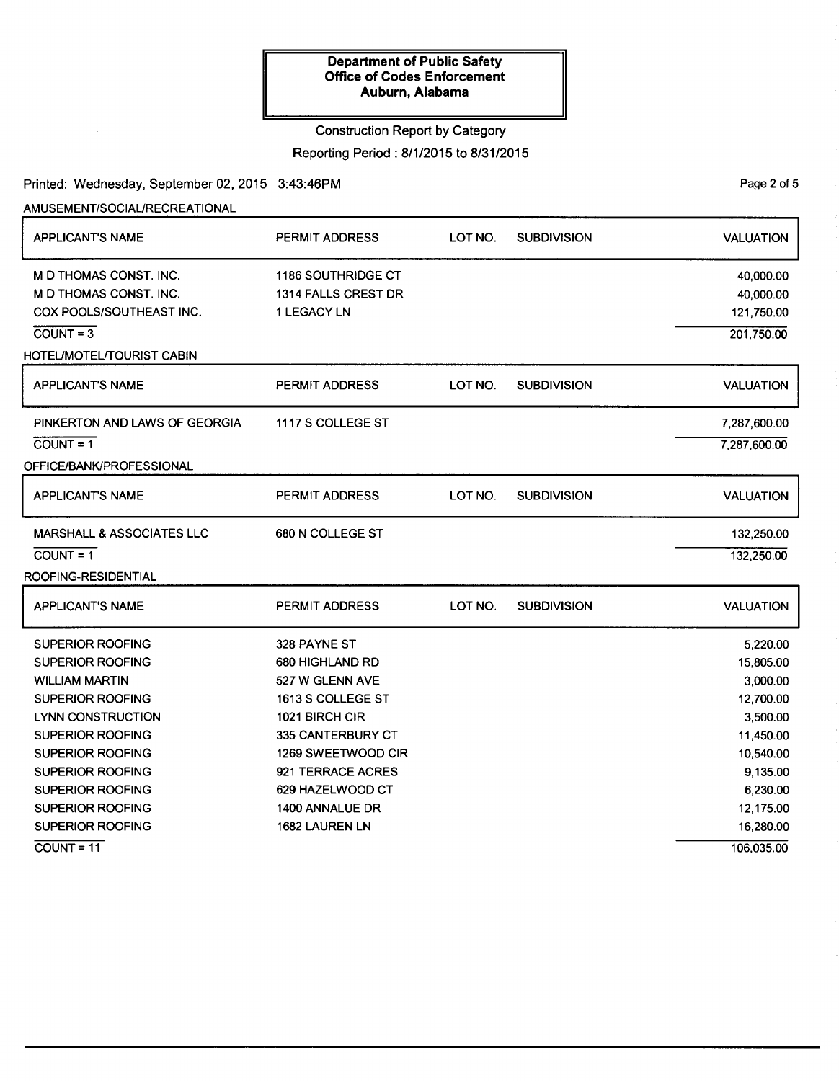## Construction Report by Category

Reporting Period: 8/1/2015 to 8/31/2015

## Printed: Wednesday, September 02, 2015 3:43:46PM

AMUSEMENT/SOCIAURECREATIONAL

| <b>APPLICANT'S NAME</b>                                                                                                                                                                                                                                           | PERMIT ADDRESS                                                                                                                                                                                                            | LOT NO. | <b>SUBDIVISION</b> | <b>VALUATION</b>                                                                                                                       |
|-------------------------------------------------------------------------------------------------------------------------------------------------------------------------------------------------------------------------------------------------------------------|---------------------------------------------------------------------------------------------------------------------------------------------------------------------------------------------------------------------------|---------|--------------------|----------------------------------------------------------------------------------------------------------------------------------------|
| <b>M D THOMAS CONST. INC.</b><br>M D THOMAS CONST. INC.<br>COX POOLS/SOUTHEAST INC.<br>$COUNT = 3$<br>HOTEL/MOTEL/TOURIST CABIN                                                                                                                                   | <b>1186 SOUTHRIDGE CT</b><br>1314 FALLS CREST DR<br>1 LEGACY LN                                                                                                                                                           |         |                    | 40,000.00<br>40,000.00<br>121,750.00<br>201,750.00                                                                                     |
| <b>APPLICANT'S NAME</b>                                                                                                                                                                                                                                           | PERMIT ADDRESS                                                                                                                                                                                                            | LOT NO. | <b>SUBDIVISION</b> | <b>VALUATION</b>                                                                                                                       |
| PINKERTON AND LAWS OF GEORGIA<br>$COUNT = 1$<br>OFFICE/BANK/PROFESSIONAL                                                                                                                                                                                          | 1117 S COLLEGE ST                                                                                                                                                                                                         |         |                    | 7,287,600.00<br>7,287,600.00                                                                                                           |
| <b>APPLICANT'S NAME</b>                                                                                                                                                                                                                                           | PERMIT ADDRESS                                                                                                                                                                                                            | LOT NO. | <b>SUBDIVISION</b> | <b>VALUATION</b>                                                                                                                       |
| <b>MARSHALL &amp; ASSOCIATES LLC</b><br>$COUNT = 1$<br>ROOFING-RESIDENTIAL                                                                                                                                                                                        | 680 N COLLEGE ST                                                                                                                                                                                                          |         |                    | 132,250.00<br>132,250.00                                                                                                               |
| <b>APPLICANT'S NAME</b>                                                                                                                                                                                                                                           | <b>PERMIT ADDRESS</b>                                                                                                                                                                                                     | LOT NO. | <b>SUBDIVISION</b> | <b>VALUATION</b>                                                                                                                       |
| SUPERIOR ROOFING<br><b>SUPERIOR ROOFING</b><br><b>WILLIAM MARTIN</b><br><b>SUPERIOR ROOFING</b><br>LYNN CONSTRUCTION<br>SUPERIOR ROOFING<br>SUPERIOR ROOFING<br><b>SUPERIOR ROOFING</b><br>SUPERIOR ROOFING<br><b>SUPERIOR ROOFING</b><br><b>SUPERIOR ROOFING</b> | 328 PAYNE ST<br>680 HIGHLAND RD<br>527 W GLENN AVE<br>1613 S COLLEGE ST<br>1021 BIRCH CIR<br>335 CANTERBURY CT<br>1269 SWEETWOOD CIR<br>921 TERRACE ACRES<br>629 HAZELWOOD CT<br><b>1400 ANNALUE DR</b><br>1682 LAUREN LN |         |                    | 5,220.00<br>15,805.00<br>3,000.00<br>12,700.00<br>3,500.00<br>11,450.00<br>10,540.00<br>9,135.00<br>6,230.00<br>12,175.00<br>16,280.00 |
| $COUNT = 11$                                                                                                                                                                                                                                                      |                                                                                                                                                                                                                           |         |                    | 106,035.00                                                                                                                             |

PaQe 2 of 5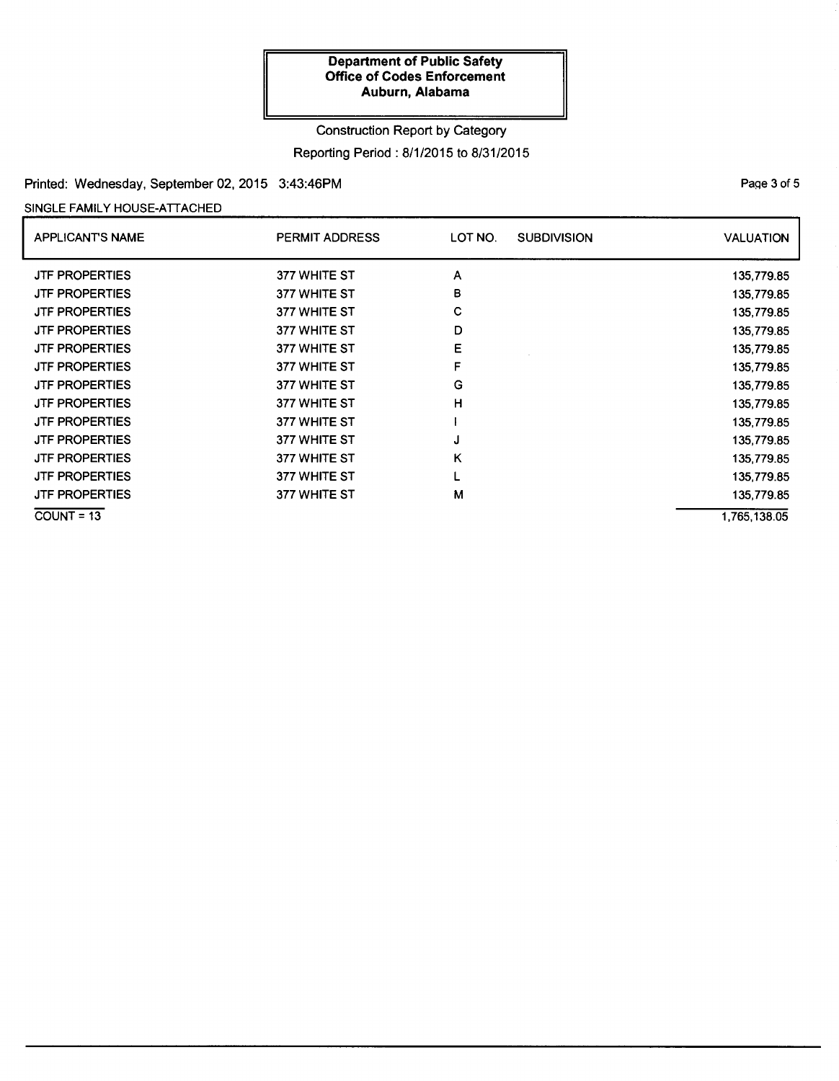# Construction Report by Category Reporting Period: 8/1/2015 to 8/31/2015

## Printed: Wednesday, September 02, 2015 3:43:46PM

### SINGLE FAMILY HOUSE-ATTACHED

| <b>APPLICANTS NAME</b> | <b>PERMIT ADDRESS</b> | LOT NO.<br><b>SUBDIVISION</b> | <b>VALUATION</b> |
|------------------------|-----------------------|-------------------------------|------------------|
| <b>JTF PROPERTIES</b>  | 377 WHITE ST          | A                             | 135,779.85       |
| <b>JTF PROPERTIES</b>  | 377 WHITE ST          | в                             | 135,779.85       |
| <b>JTF PROPERTIES</b>  | 377 WHITE ST          | С                             | 135,779.85       |
| <b>JTF PROPERTIES</b>  | 377 WHITE ST          | D                             | 135,779.85       |
| <b>JTF PROPERTIES</b>  | 377 WHITE ST          | E                             | 135,779.85       |
| <b>JTF PROPERTIES</b>  | 377 WHITE ST          | F                             | 135,779.85       |
| <b>JTF PROPERTIES</b>  | 377 WHITE ST          | G                             | 135,779.85       |
| <b>JTF PROPERTIES</b>  | 377 WHITE ST          | н                             | 135,779.85       |
| <b>JTF PROPERTIES</b>  | 377 WHITE ST          |                               | 135,779.85       |
| <b>JTF PROPERTIES</b>  | 377 WHITE ST          | J                             | 135,779.85       |
| <b>JTF PROPERTIES</b>  | 377 WHITE ST          | κ                             | 135,779.85       |
| <b>JTF PROPERTIES</b>  | 377 WHITE ST          |                               | 135,779.85       |
| <b>JTF PROPERTIES</b>  | 377 WHITE ST          | M                             | 135,779.85       |
| $COUNT = 13$           |                       |                               | 1,765,138.05     |

PaQe 3 of 5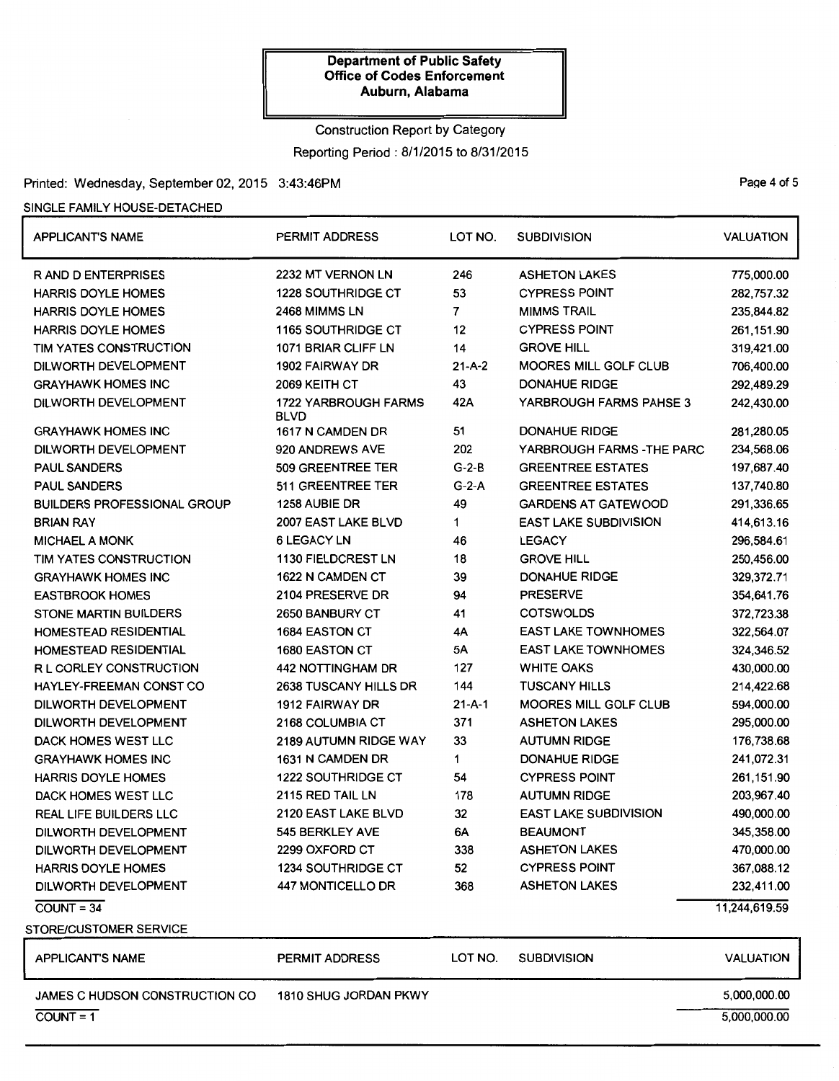# Construction Report by Category Reporting Period: 8/1/2015 to 8/31/2015

### Printed: Wednesday, September 02, 2015 3:43:46PM Page 4 of 5

### SINGLE FAMILY HOUSE-DETACHED

| <b>APPLICANT'S NAME</b>               | PERMIT ADDRESS                             | LOT NO.        | <b>SUBDIVISION</b>           | <b>VALUATION</b> |
|---------------------------------------|--------------------------------------------|----------------|------------------------------|------------------|
| <b>RAND DENTERPRISES</b>              | 2232 MT VERNON LN                          | 246            | <b>ASHETON LAKES</b>         | 775,000.00       |
| <b>HARRIS DOYLE HOMES</b>             | <b>1228 SOUTHRIDGE CT</b>                  | 53             | <b>CYPRESS POINT</b>         | 282,757.32       |
| <b>HARRIS DOYLE HOMES</b>             | 2468 MIMMS LN                              | $\overline{7}$ | <b>MIMMS TRAIL</b>           | 235,844.82       |
| <b>HARRIS DOYLE HOMES</b>             | 1165 SOUTHRIDGE CT                         | 12             | <b>CYPRESS POINT</b>         | 261,151.90       |
| TIM YATES CONSTRUCTION                | 1071 BRIAR CLIFF LN                        | 14             | <b>GROVE HILL</b>            | 319,421.00       |
| DILWORTH DEVELOPMENT                  | 1902 FAIRWAY DR                            | $21 - A - 2$   | <b>MOORES MILL GOLF CLUB</b> | 706,400.00       |
| <b>GRAYHAWK HOMES INC</b>             | 2069 KEITH CT                              | 43             | <b>DONAHUE RIDGE</b>         | 292,489.29       |
| DILWORTH DEVELOPMENT                  | <b>1722 YARBROUGH FARMS</b><br><b>BLVD</b> | 42A            | YARBROUGH FARMS PAHSE 3      | 242,430.00       |
| <b>GRAYHAWK HOMES INC</b>             | 1617 N CAMDEN DR                           | 51             | <b>DONAHUE RIDGE</b>         | 281,280.05       |
| <b>DILWORTH DEVELOPMENT</b>           | 920 ANDREWS AVE                            | 202            | YARBROUGH FARMS - THE PARC   | 234,568.06       |
| <b>PAUL SANDERS</b>                   | 509 GREENTREE TER                          | $G-2-B$        | <b>GREENTREE ESTATES</b>     | 197,687.40       |
| <b>PAUL SANDERS</b>                   | 511 GREENTREE TER                          | $G-2-A$        | <b>GREENTREE ESTATES</b>     | 137,740.80       |
| <b>BUILDERS PROFESSIONAL GROUP</b>    | 1258 AUBIE DR                              | 49             | <b>GARDENS AT GATEWOOD</b>   | 291,336.65       |
| <b>BRIAN RAY</b>                      | 2007 EAST LAKE BLVD                        | 1              | <b>EAST LAKE SUBDIVISION</b> | 414,613.16       |
| <b>MICHAEL A MONK</b>                 | <b>6 LEGACY LN</b>                         | 46             | <b>LEGACY</b>                | 296,584.61       |
| TIM YATES CONSTRUCTION                | 1130 FIELDCREST LN                         | 18             | <b>GROVE HILL</b>            | 250,456.00       |
| <b>GRAYHAWK HOMES INC</b>             | 1622 N CAMDEN CT                           | 39             | <b>DONAHUE RIDGE</b>         | 329,372.71       |
| <b>EASTBROOK HOMES</b>                | 2104 PRESERVE DR                           | 94             | <b>PRESERVE</b>              | 354,641.76       |
| STONE MARTIN BUILDERS                 | 2650 BANBURY CT                            | 41             | <b>COTSWOLDS</b>             | 372,723.38       |
| HOMESTEAD RESIDENTIAL                 | 1684 EASTON CT                             | 4Α             | <b>EAST LAKE TOWNHOMES</b>   | 322,564.07       |
| HOMESTEAD RESIDENTIAL                 | 1680 EASTON CT                             | 5A             | <b>EAST LAKE TOWNHOMES</b>   | 324,346.52       |
| R L CORLEY CONSTRUCTION               | 442 NOTTINGHAM DR                          | 127            | <b>WHITE OAKS</b>            | 430,000.00       |
| HAYLEY-FREEMAN CONST CO               | 2638 TUSCANY HILLS DR                      | 144            | <b>TUSCANY HILLS</b>         | 214,422.68       |
| DILWORTH DEVELOPMENT                  | 1912 FAIRWAY DR                            | $21 - A - 1$   | MOORES MILL GOLF CLUB        | 594,000.00       |
| DILWORTH DEVELOPMENT                  | 2168 COLUMBIA CT                           | 371            | <b>ASHETON LAKES</b>         | 295,000.00       |
| DACK HOMES WEST LLC                   | 2189 AUTUMN RIDGE WAY                      | 33             | <b>AUTUMN RIDGE</b>          | 176,738.68       |
| <b>GRAYHAWK HOMES INC</b>             | 1631 N CAMDEN DR                           | 1              | <b>DONAHUE RIDGE</b>         | 241,072.31       |
| <b>HARRIS DOYLE HOMES</b>             | 1222 SOUTHRIDGE CT                         | 54             | <b>CYPRESS POINT</b>         | 261,151.90       |
| DACK HOMES WEST LLC                   | 2115 RED TAIL LN                           | 178            | <b>AUTUMN RIDGE</b>          | 203,967.40       |
| REAL LIFE BUILDERS LLC                | 2120 EAST LAKE BLVD                        | 32             | <b>EAST LAKE SUBDIVISION</b> | 490,000.00       |
| DILWORTH DEVELOPMENT                  | 545 BERKLEY AVE                            | 6A             | <b>BEAUMONT</b>              | 345,358.00       |
| <b>DILWORTH DEVELOPMENT</b>           | 2299 OXFORD CT                             | 338            | <b>ASHETON LAKES</b>         | 470,000.00       |
| <b>HARRIS DOYLE HOMES</b>             | 1234 SOUTHRIDGE CT                         | 52             | <b>CYPRESS POINT</b>         | 367,088.12       |
| DILWORTH DEVELOPMENT                  | 447 MONTICELLO DR                          | 368            | <b>ASHETON LAKES</b>         | 232,411.00       |
| $COUNT = 34$                          |                                            |                |                              | 11,244,619.59    |
| STORE/CUSTOMER SERVICE                |                                            |                |                              |                  |
| <b>APPLICANT'S NAME</b>               | <b>PERMIT ADDRESS</b>                      | LOT NO.        | <b>SUBDIVISION</b>           | <b>VALUATION</b> |
| <b>JAMES C HUDSON CONSTRUCTION CO</b> | 1810 SHUG JORDAN PKWY                      |                |                              | 5,000,000.00     |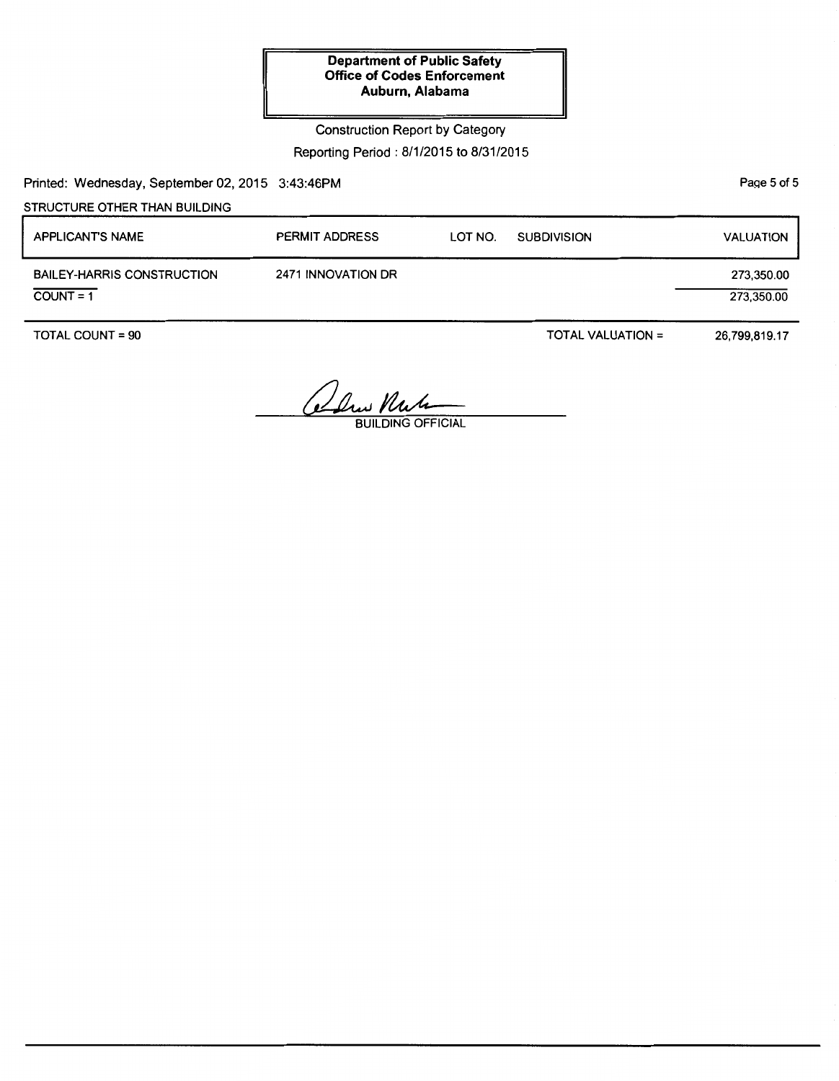## Construction Report by Category Reporting Period: 8/1/2015 to 8/31/2015

Printed: Wednesday, September 02, 2015 3:43:46PM

STRUCTURE OTHER THAN BUILDING

| <b>APPLICANT'S NAME</b>                          | <b>PERMIT ADDRESS</b> | LOT NO. | <b>SUBDIVISION</b> | <b>VALUATION</b>         |
|--------------------------------------------------|-----------------------|---------|--------------------|--------------------------|
| <b>BAILEY-HARRIS CONSTRUCTION</b><br>$COUNT = 1$ | 2471 INNOVATION DR    |         |                    | 273,350.00<br>273,350.00 |

TOTAL COUNT= 90

TOTAL VALUATION=

26,799,819.17

Olus Nut

PaQe 5 of 5